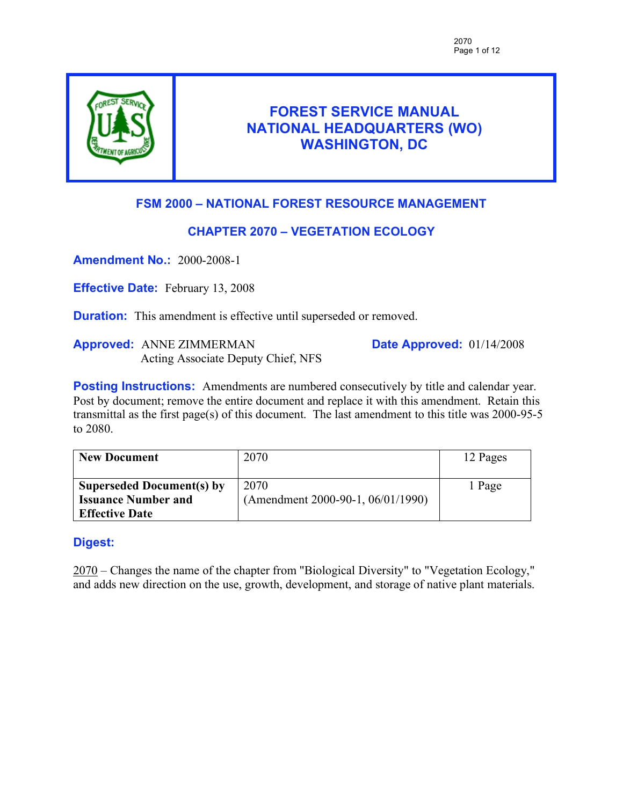

# **FOREST SERVICE MANUAL NATIONAL HEADQUARTERS (WO) WASHINGTON, DC**

# **FSM 2000 – NATIONAL FOREST RESOURCE MANAGEMENT**

# **CHAPTER 2070 – VEGETATION ECOLOGY**

**Amendment No.:** 2000-2008-1

**Effective Date:** February 13, 2008

**Duration:** This amendment is effective until superseded or removed.

**Approved:** ANNE ZIMMERMAN Acting Associate Deputy Chief, NFS **Date Approved:** 01/14/2008

**Posting Instructions:** Amendments are numbered consecutively by title and calendar year. Post by document; remove the entire document and replace it with this amendment. Retain this transmittal as the first page(s) of this document. The last amendment to this title was 2000-95-5 to 2080.

| <b>New Document</b>              | 2070                              | 12 Pages |
|----------------------------------|-----------------------------------|----------|
| <b>Superseded Document(s) by</b> | 2070                              | 1 Page   |
| <b>Issuance Number and</b>       | (Amendment 2000-90-1, 06/01/1990) |          |
| <b>Effective Date</b>            |                                   |          |

# **Digest:**

2070 – Changes the name of the chapter from "Biological Diversity" to "Vegetation Ecology," and adds new direction on the use, growth, development, and storage of native plant materials.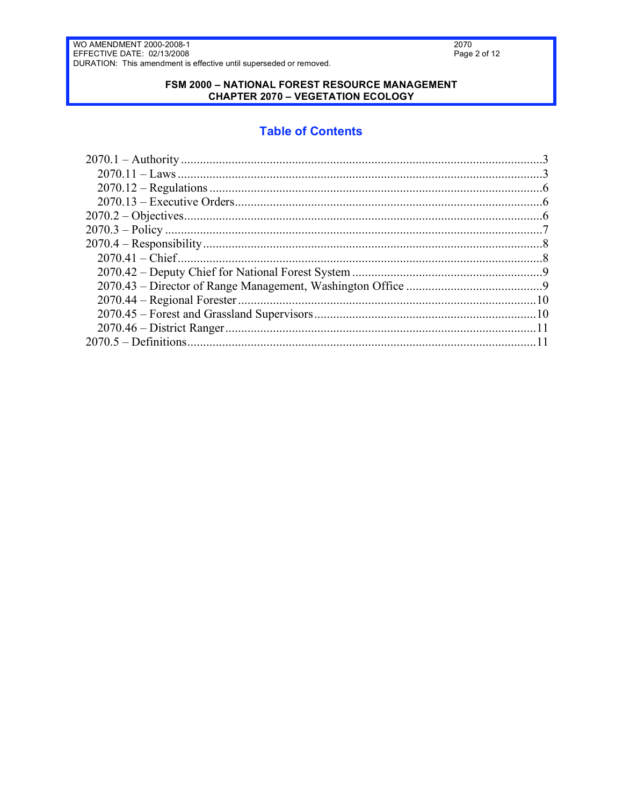### FSM 2000 - NATIONAL FOREST RESOURCE MANAGEMENT **CHAPTER 2070 - VEGETATION ECOLOGY**

# **Table of Contents**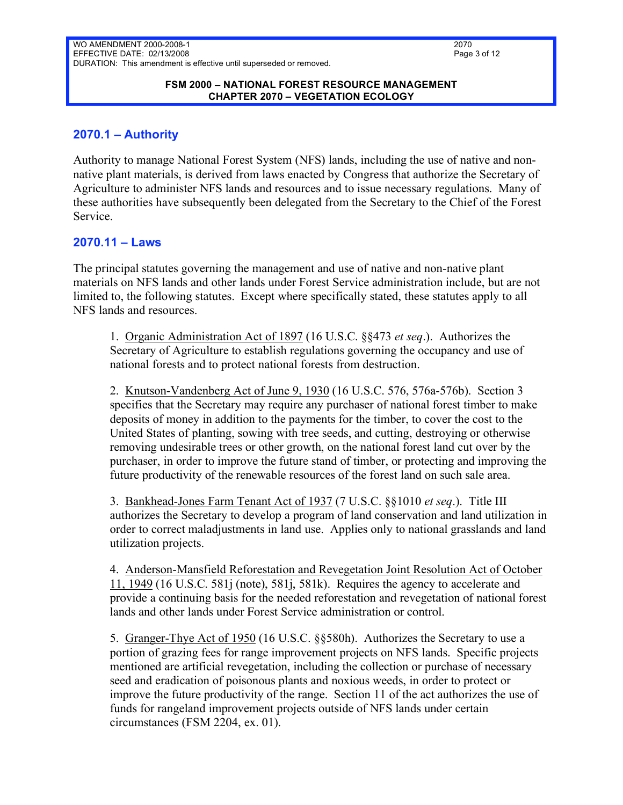#### **FSM 2000 – NATIONAL FOREST RESOURCE MANAGEMENT CHAPTER 2070 – VEGETATION ECOLOGY**

## **2070.1 – Authority**

Authority to manage National Forest System (NFS) lands, including the use of native and nonnative plant materials, is derived from laws enacted by Congress that authorize the Secretary of Agriculture to administer NFS lands and resources and to issue necessary regulations. Many of these authorities have subsequently been delegated from the Secretary to the Chief of the Forest Service.

### **2070.11 – Laws**

The principal statutes governing the management and use of native and non-native plant materials on NFS lands and other lands under Forest Service administration include, but are not limited to, the following statutes. Except where specifically stated, these statutes apply to all NFS lands and resources.

1. Organic Administration Act of 1897 (16 U.S.C. §§473 *et seq*.). Authorizes the Secretary of Agriculture to establish regulations governing the occupancy and use of national forests and to protect national forests from destruction.

2. Knutson-Vandenberg Act of June 9, 1930 (16 U.S.C. 576, 576a-576b). Section 3 specifies that the Secretary may require any purchaser of national forest timber to make deposits of money in addition to the payments for the timber, to cover the cost to the United States of planting, sowing with tree seeds, and cutting, destroying or otherwise removing undesirable trees or other growth, on the national forest land cut over by the purchaser, in order to improve the future stand of timber, or protecting and improving the future productivity of the renewable resources of the forest land on such sale area.

3. Bankhead-Jones Farm Tenant Act of 1937 (7 U.S.C. §§1010 *et seq*.). Title III authorizes the Secretary to develop a program of land conservation and land utilization in order to correct maladjustments in land use. Applies only to national grasslands and land utilization projects.

4. Anderson-Mansfield Reforestation and Revegetation Joint Resolution Act of October 11, 1949 (16 U.S.C. 581j (note), 581j, 581k). Requires the agency to accelerate and provide a continuing basis for the needed reforestation and revegetation of national forest lands and other lands under Forest Service administration or control.

5. Granger-Thye Act of 1950 (16 U.S.C. §§580h). Authorizes the Secretary to use a portion of grazing fees for range improvement projects on NFS lands. Specific projects mentioned are artificial revegetation, including the collection or purchase of necessary seed and eradication of poisonous plants and noxious weeds, in order to protect or improve the future productivity of the range. Section 11 of the act authorizes the use of funds for rangeland improvement projects outside of NFS lands under certain circumstances (FSM 2204, ex. 01).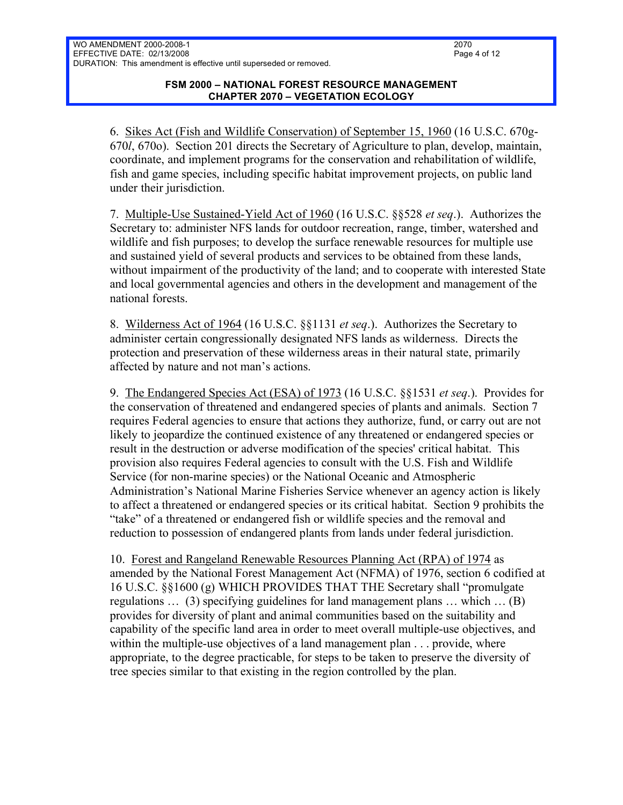6. Sikes Act (Fish and Wildlife Conservation) of September 15, 1960 (16 U.S.C. 670g-670*l*, 670o). Section 201 directs the Secretary of Agriculture to plan, develop, maintain, coordinate, and implement programs for the conservation and rehabilitation of wildlife, fish and game species, including specific habitat improvement projects, on public land under their jurisdiction.

7. Multiple-Use Sustained-Yield Act of 1960 (16 U.S.C. §§528 *et seq*.). Authorizes the Secretary to: administer NFS lands for outdoor recreation, range, timber, watershed and wildlife and fish purposes; to develop the surface renewable resources for multiple use and sustained yield of several products and services to be obtained from these lands, without impairment of the productivity of the land; and to cooperate with interested State and local governmental agencies and others in the development and management of the national forests.

8. Wilderness Act of 1964 (16 U.S.C. §§1131 *et seq*.). Authorizes the Secretary to administer certain congressionally designated NFS lands as wilderness. Directs the protection and preservation of these wilderness areas in their natural state, primarily affected by nature and not man's actions.

9. The Endangered Species Act (ESA) of 1973 (16 U.S.C. §§1531 *et seq*.). Provides for the conservation of threatened and endangered species of plants and animals. Section 7 requires Federal agencies to ensure that actions they authorize, fund, or carry out are not likely to jeopardize the continued existence of any threatened or endangered species or result in the destruction or adverse modification of the species' critical habitat. This provision also requires Federal agencies to consult with the U.S. Fish and Wildlife Service (for non-marine species) or the National Oceanic and Atmospheric Administration's National Marine Fisheries Service whenever an agency action is likely to affect a threatened or endangered species or its critical habitat. Section 9 prohibits the "take" of a threatened or endangered fish or wildlife species and the removal and reduction to possession of endangered plants from lands under federal jurisdiction.

10. Forest and Rangeland Renewable Resources Planning Act (RPA) of 1974 as amended by the National Forest Management Act (NFMA) of 1976, section 6 codified at 16 U.S.C. §§1600 (g) WHICH PROVIDES THAT THE Secretary shall "promulgate regulations … (3) specifying guidelines for land management plans … which … (B) provides for diversity of plant and animal communities based on the suitability and capability of the specific land area in order to meet overall multiple-use objectives, and within the multiple-use objectives of a land management plan . . . provide, where appropriate, to the degree practicable, for steps to be taken to preserve the diversity of tree species similar to that existing in the region controlled by the plan.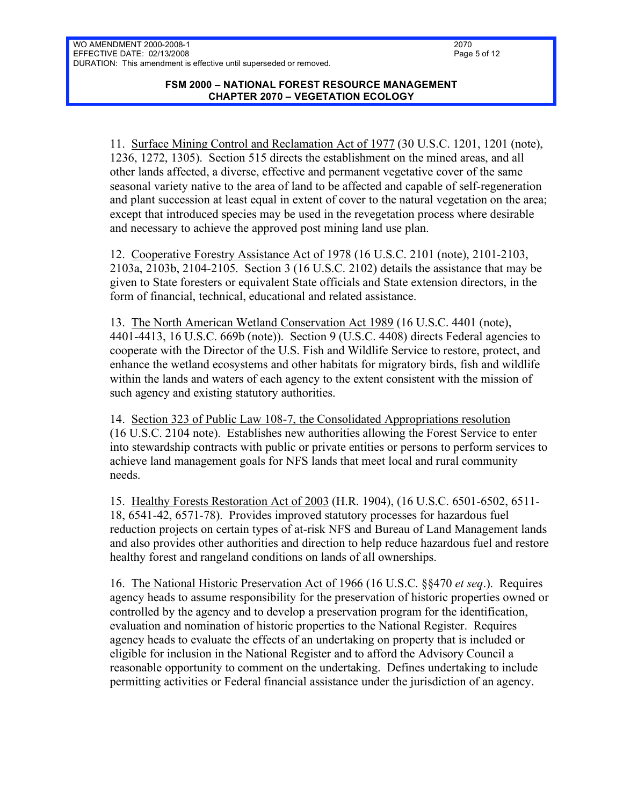#### **FSM 2000 – NATIONAL FOREST RESOURCE MANAGEMENT CHAPTER 2070 – VEGETATION ECOLOGY**

11. Surface Mining Control and Reclamation Act of 1977 (30 U.S.C. 1201, 1201 (note), 1236, 1272, 1305). Section 515 directs the establishment on the mined areas, and all other lands affected, a diverse, effective and permanent vegetative cover of the same seasonal variety native to the area of land to be affected and capable of self-regeneration and plant succession at least equal in extent of cover to the natural vegetation on the area; except that introduced species may be used in the revegetation process where desirable and necessary to achieve the approved post mining land use plan.

12. Cooperative Forestry Assistance Act of 1978 (16 U.S.C. 2101 (note), 2101-2103, 2103a, 2103b, 2104-2105. Section 3 (16 U.S.C. 2102) details the assistance that may be given to State foresters or equivalent State officials and State extension directors, in the form of financial, technical, educational and related assistance.

13. The North American Wetland Conservation Act 1989 (16 U.S.C. 4401 (note), 4401-4413, 16 U.S.C. 669b (note)). Section 9 (U.S.C. 4408) directs Federal agencies to cooperate with the Director of the U.S. Fish and Wildlife Service to restore, protect, and enhance the wetland ecosystems and other habitats for migratory birds, fish and wildlife within the lands and waters of each agency to the extent consistent with the mission of such agency and existing statutory authorities.

14. Section 323 of Public Law 108-7, the Consolidated Appropriations resolution (16 U.S.C. 2104 note). Establishes new authorities allowing the Forest Service to enter into stewardship contracts with public or private entities or persons to perform services to achieve land management goals for NFS lands that meet local and rural community needs.

15. Healthy Forests Restoration Act of 2003 (H.R. 1904), (16 U.S.C. 6501-6502, 6511- 18, 6541-42, 6571-78). Provides improved statutory processes for hazardous fuel reduction projects on certain types of at-risk NFS and Bureau of Land Management lands and also provides other authorities and direction to help reduce hazardous fuel and restore healthy forest and rangeland conditions on lands of all ownerships.

16. The National Historic Preservation Act of 1966 (16 U.S.C. §§470 *et seq*.). Requires agency heads to assume responsibility for the preservation of historic properties owned or controlled by the agency and to develop a preservation program for the identification, evaluation and nomination of historic properties to the National Register. Requires agency heads to evaluate the effects of an undertaking on property that is included or eligible for inclusion in the National Register and to afford the Advisory Council a reasonable opportunity to comment on the undertaking. Defines undertaking to include permitting activities or Federal financial assistance under the jurisdiction of an agency.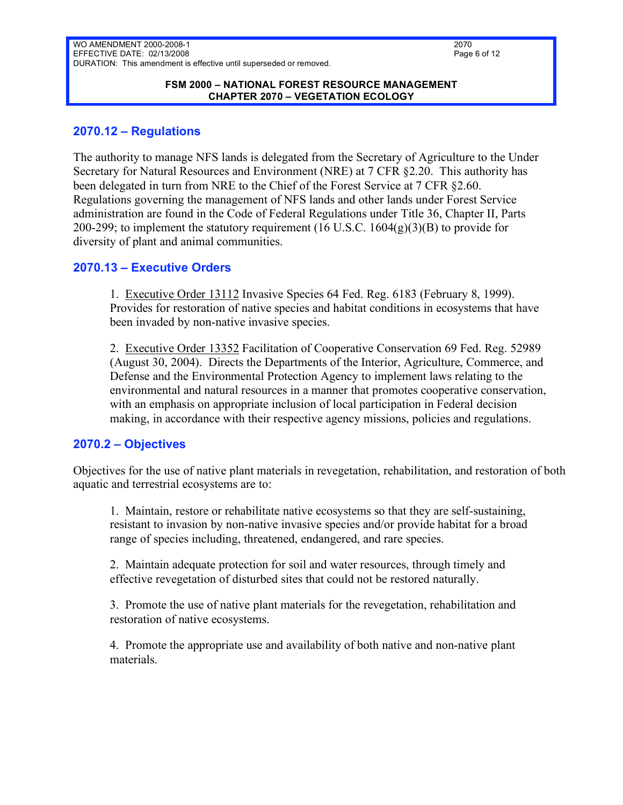#### **FSM 2000 – NATIONAL FOREST RESOURCE MANAGEMENT CHAPTER 2070 – VEGETATION ECOLOGY**

### **2070.12 – Regulations**

The authority to manage NFS lands is delegated from the Secretary of Agriculture to the Under Secretary for Natural Resources and Environment (NRE) at 7 CFR §2.20. This authority has been delegated in turn from NRE to the Chief of the Forest Service at 7 CFR §2.60. Regulations governing the management of NFS lands and other lands under Forest Service administration are found in the Code of Federal Regulations under Title 36, Chapter II, Parts 200-299; to implement the statutory requirement  $(16 \text{ U.S.C. } 1604(g)(3)(B))$  to provide for diversity of plant and animal communities.

### **2070.13 – Executive Orders**

1. Executive Order 13112 Invasive Species 64 Fed. Reg. 6183 (February 8, 1999). Provides for restoration of native species and habitat conditions in ecosystems that have been invaded by non-native invasive species.

2. Executive Order 13352 Facilitation of Cooperative Conservation 69 Fed. Reg. 52989 (August 30, 2004). Directs the Departments of the Interior, Agriculture, Commerce, and Defense and the Environmental Protection Agency to implement laws relating to the environmental and natural resources in a manner that promotes cooperative conservation, with an emphasis on appropriate inclusion of local participation in Federal decision making, in accordance with their respective agency missions, policies and regulations.

## **2070.2 – Objectives**

Objectives for the use of native plant materials in revegetation, rehabilitation, and restoration of both aquatic and terrestrial ecosystems are to:

1. Maintain, restore or rehabilitate native ecosystems so that they are self-sustaining, resistant to invasion by non-native invasive species and/or provide habitat for a broad range of species including, threatened, endangered, and rare species.

2. Maintain adequate protection for soil and water resources, through timely and effective revegetation of disturbed sites that could not be restored naturally.

3. Promote the use of native plant materials for the revegetation, rehabilitation and restoration of native ecosystems.

4. Promote the appropriate use and availability of both native and non-native plant materials.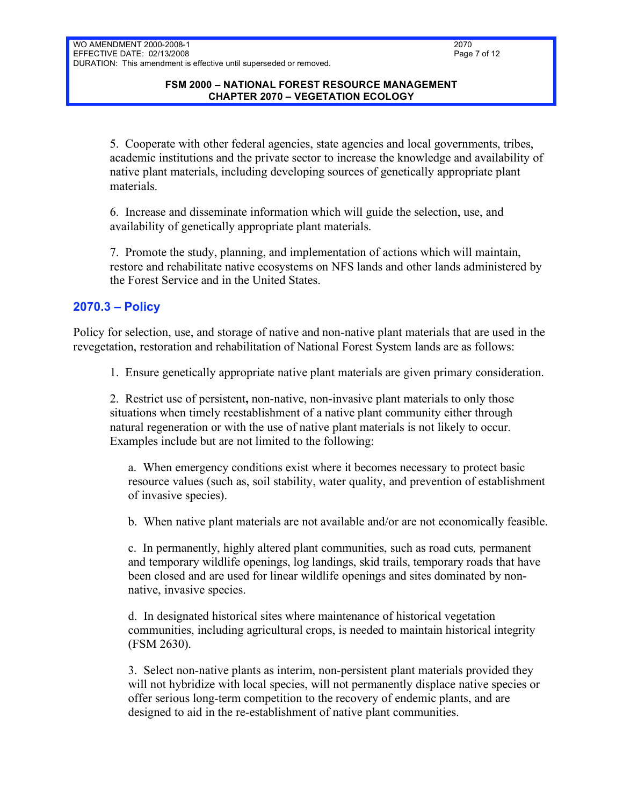#### **FSM 2000 – NATIONAL FOREST RESOURCE MANAGEMENT CHAPTER 2070 – VEGETATION ECOLOGY**

5. Cooperate with other federal agencies, state agencies and local governments, tribes, academic institutions and the private sector to increase the knowledge and availability of native plant materials, including developing sources of genetically appropriate plant materials.

6. Increase and disseminate information which will guide the selection, use, and availability of genetically appropriate plant materials.

7. Promote the study, planning, and implementation of actions which will maintain, restore and rehabilitate native ecosystems on NFS lands and other lands administered by the Forest Service and in the United States.

# **2070.3 – Policy**

Policy for selection, use, and storage of native and non-native plant materials that are used in the revegetation, restoration and rehabilitation of National Forest System lands are as follows:

1. Ensure genetically appropriate native plant materials are given primary consideration.

2. Restrict use of persistent**,** non-native, non-invasive plant materials to only those situations when timely reestablishment of a native plant community either through natural regeneration or with the use of native plant materials is not likely to occur. Examples include but are not limited to the following:

a. When emergency conditions exist where it becomes necessary to protect basic resource values (such as, soil stability, water quality, and prevention of establishment of invasive species).

b. When native plant materials are not available and/or are not economically feasible.

c. In permanently, highly altered plant communities, such as road cuts*,* permanent and temporary wildlife openings, log landings, skid trails, temporary roads that have been closed and are used for linear wildlife openings and sites dominated by nonnative, invasive species.

d. In designated historical sites where maintenance of historical vegetation communities, including agricultural crops, is needed to maintain historical integrity (FSM 2630).

3. Select non-native plants as interim, non-persistent plant materials provided they will not hybridize with local species, will not permanently displace native species or offer serious long-term competition to the recovery of endemic plants, and are designed to aid in the re-establishment of native plant communities.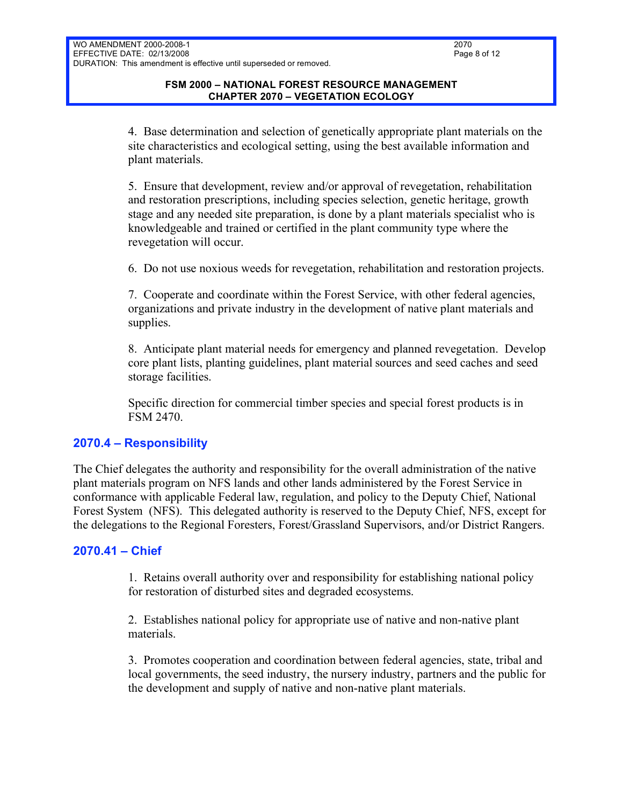4. Base determination and selection of genetically appropriate plant materials on the site characteristics and ecological setting, using the best available information and plant materials.

5. Ensure that development, review and/or approval of revegetation, rehabilitation and restoration prescriptions, including species selection, genetic heritage, growth stage and any needed site preparation, is done by a plant materials specialist who is knowledgeable and trained or certified in the plant community type where the revegetation will occur.

6. Do not use noxious weeds for revegetation, rehabilitation and restoration projects.

7. Cooperate and coordinate within the Forest Service, with other federal agencies, organizations and private industry in the development of native plant materials and supplies.

8. Anticipate plant material needs for emergency and planned revegetation. Develop core plant lists, planting guidelines, plant material sources and seed caches and seed storage facilities.

Specific direction for commercial timber species and special forest products is in FSM 2470.

# **2070.4 – Responsibility**

The Chief delegates the authority and responsibility for the overall administration of the native plant materials program on NFS lands and other lands administered by the Forest Service in conformance with applicable Federal law, regulation, and policy to the Deputy Chief, National Forest System (NFS). This delegated authority is reserved to the Deputy Chief, NFS, except for the delegations to the Regional Foresters, Forest/Grassland Supervisors, and/or District Rangers.

## **2070.41 – Chief**

1. Retains overall authority over and responsibility for establishing national policy for restoration of disturbed sites and degraded ecosystems.

2. Establishes national policy for appropriate use of native and non-native plant materials.

3. Promotes cooperation and coordination between federal agencies, state, tribal and local governments, the seed industry, the nursery industry, partners and the public for the development and supply of native and non-native plant materials.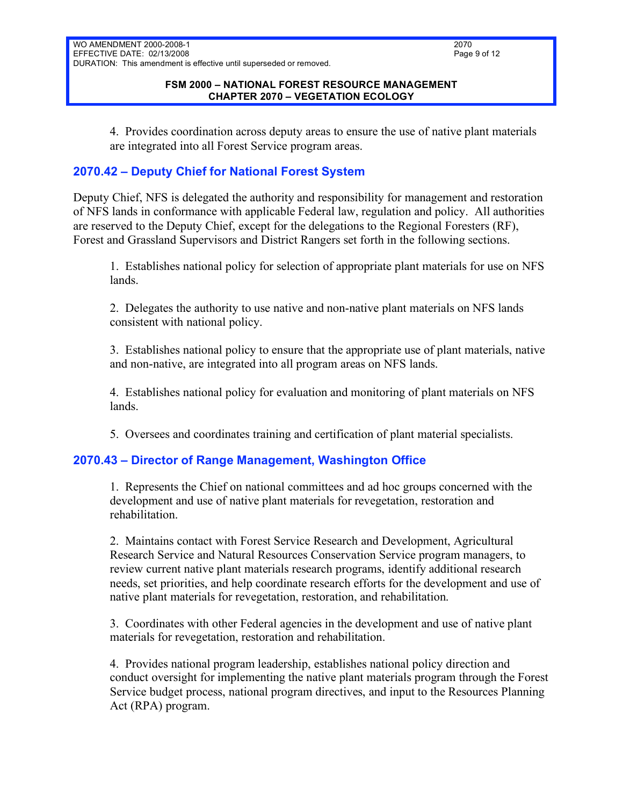### **FSM 2000 – NATIONAL FOREST RESOURCE MANAGEMENT CHAPTER 2070 – VEGETATION ECOLOGY**

4. Provides coordination across deputy areas to ensure the use of native plant materials are integrated into all Forest Service program areas.

# **2070.42 – Deputy Chief for National Forest System**

Deputy Chief, NFS is delegated the authority and responsibility for management and restoration of NFS lands in conformance with applicable Federal law, regulation and policy. All authorities are reserved to the Deputy Chief, except for the delegations to the Regional Foresters (RF), Forest and Grassland Supervisors and District Rangers set forth in the following sections.

1. Establishes national policy for selection of appropriate plant materials for use on NFS lands.

2. Delegates the authority to use native and non-native plant materials on NFS lands consistent with national policy.

3. Establishes national policy to ensure that the appropriate use of plant materials, native and non-native, are integrated into all program areas on NFS lands.

4. Establishes national policy for evaluation and monitoring of plant materials on NFS lands.

5. Oversees and coordinates training and certification of plant material specialists.

## **2070.43 – Director of Range Management, Washington Office**

1. Represents the Chief on national committees and ad hoc groups concerned with the development and use of native plant materials for revegetation, restoration and rehabilitation.

2. Maintains contact with Forest Service Research and Development, Agricultural Research Service and Natural Resources Conservation Service program managers, to review current native plant materials research programs, identify additional research needs, set priorities, and help coordinate research efforts for the development and use of native plant materials for revegetation, restoration, and rehabilitation.

3. Coordinates with other Federal agencies in the development and use of native plant materials for revegetation, restoration and rehabilitation.

4. Provides national program leadership, establishes national policy direction and conduct oversight for implementing the native plant materials program through the Forest Service budget process, national program directives, and input to the Resources Planning Act (RPA) program.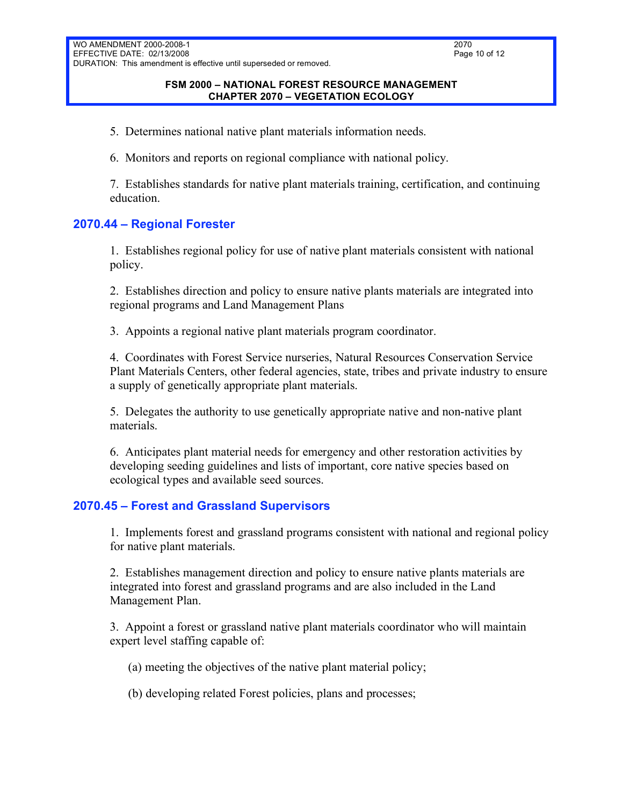5. Determines national native plant materials information needs.

6. Monitors and reports on regional compliance with national policy.

7. Establishes standards for native plant materials training, certification, and continuing education.

## **2070.44 – Regional Forester**

1. Establishes regional policy for use of native plant materials consistent with national policy.

2. Establishes direction and policy to ensure native plants materials are integrated into regional programs and Land Management Plans

3. Appoints a regional native plant materials program coordinator.

4. Coordinates with Forest Service nurseries, Natural Resources Conservation Service Plant Materials Centers, other federal agencies, state, tribes and private industry to ensure a supply of genetically appropriate plant materials.

5. Delegates the authority to use genetically appropriate native and non-native plant materials.

6. Anticipates plant material needs for emergency and other restoration activities by developing seeding guidelines and lists of important, core native species based on ecological types and available seed sources.

# **2070.45 – Forest and Grassland Supervisors**

1. Implements forest and grassland programs consistent with national and regional policy for native plant materials.

2. Establishes management direction and policy to ensure native plants materials are integrated into forest and grassland programs and are also included in the Land Management Plan.

3. Appoint a forest or grassland native plant materials coordinator who will maintain expert level staffing capable of:

(a) meeting the objectives of the native plant material policy;

(b) developing related Forest policies, plans and processes;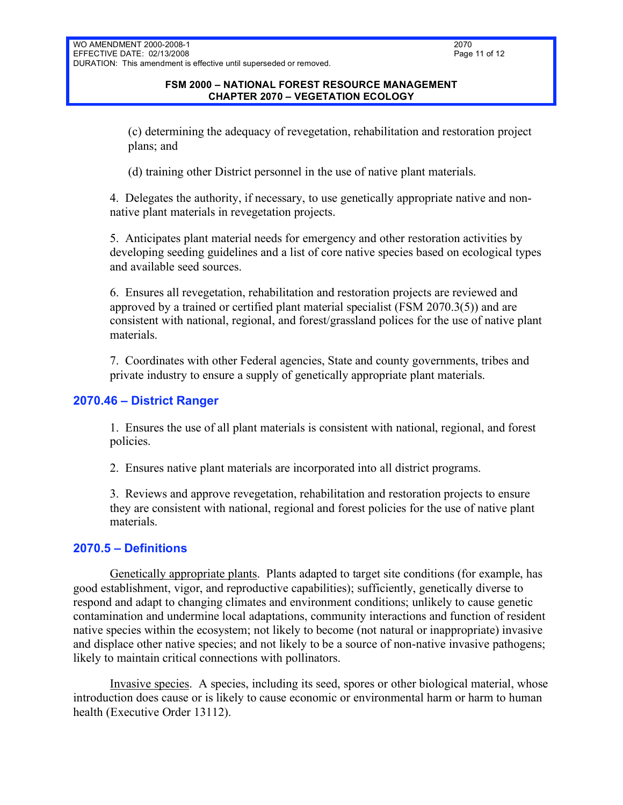(c) determining the adequacy of revegetation, rehabilitation and restoration project plans; and

(d) training other District personnel in the use of native plant materials.

4. Delegates the authority, if necessary, to use genetically appropriate native and nonnative plant materials in revegetation projects.

5. Anticipates plant material needs for emergency and other restoration activities by developing seeding guidelines and a list of core native species based on ecological types and available seed sources.

6. Ensures all revegetation, rehabilitation and restoration projects are reviewed and approved by a trained or certified plant material specialist (FSM 2070.3(5)) and are consistent with national, regional, and forest/grassland polices for the use of native plant materials.

7. Coordinates with other Federal agencies, State and county governments, tribes and private industry to ensure a supply of genetically appropriate plant materials.

# **2070.46 – District Ranger**

1. Ensures the use of all plant materials is consistent with national, regional, and forest policies.

2. Ensures native plant materials are incorporated into all district programs.

3. Reviews and approve revegetation, rehabilitation and restoration projects to ensure they are consistent with national, regional and forest policies for the use of native plant materials.

## **2070.5 – Definitions**

Genetically appropriate plants. Plants adapted to target site conditions (for example, has good establishment, vigor, and reproductive capabilities); sufficiently, genetically diverse to respond and adapt to changing climates and environment conditions; unlikely to cause genetic contamination and undermine local adaptations, community interactions and function of resident native species within the ecosystem; not likely to become (not natural or inappropriate) invasive and displace other native species; and not likely to be a source of non-native invasive pathogens; likely to maintain critical connections with pollinators.

Invasive species. A species, including its seed, spores or other biological material, whose introduction does cause or is likely to cause economic or environmental harm or harm to human health (Executive Order 13112).